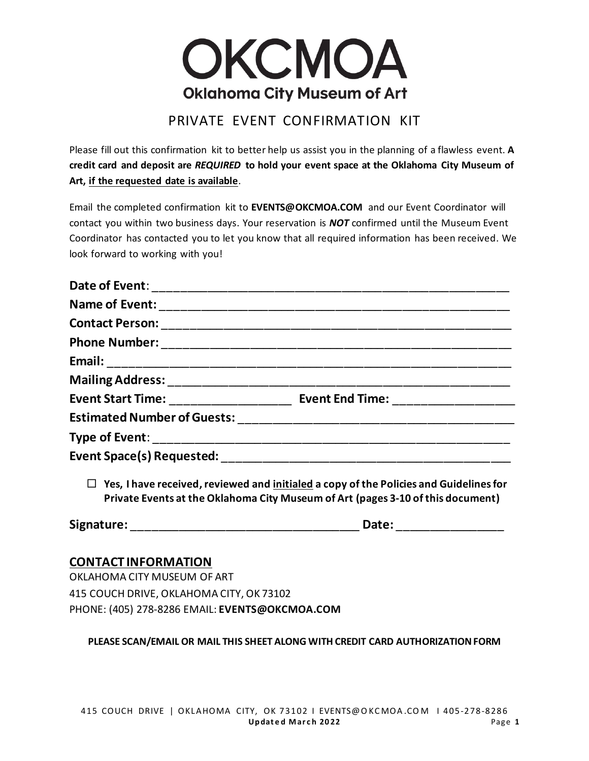# OKCMOA **Oklahoma City Museum of Art**

## PRIVATE EVENT CONFIRMATION KIT

Please fill out this confirmation kit to better help us assist you in the planning of a flawless event. **A credit card and deposit are** *REQUIRED* **to hold your event space at the Oklahoma City Museum of Art, if the requested date is available**.

Email the completed confirmation kit to **EVENTS@OKCMOA.COM** and our Event Coordinator will contact you within two business days. Your reservation is *NOT* confirmed until the Museum Event Coordinator has contacted you to let you know that all required information has been received. We look forward to working with you!

|                             | $\Box$ Yes, I have received, reviewed and initialed a copy of the Policies and Guidelines for<br>Private Events at the Oklahoma City Museum of Art (pages 3-10 of this document) |
|-----------------------------|----------------------------------------------------------------------------------------------------------------------------------------------------------------------------------|
|                             |                                                                                                                                                                                  |
| <b>CONTACT INFORMATION</b>  |                                                                                                                                                                                  |
| OKLAHOMA CITY MUSEUM OF ART |                                                                                                                                                                                  |

415 COUCH DRIVE, OKLAHOMA CITY, OK 73102 PHONE: (405) 278-8286 EMAIL: **EVENTS@OKCMOA.COM**

#### **PLEASE SCAN/EMAIL OR MAIL THIS SHEET ALONG WITH CREDIT CARD AUTHORIZATION FORM**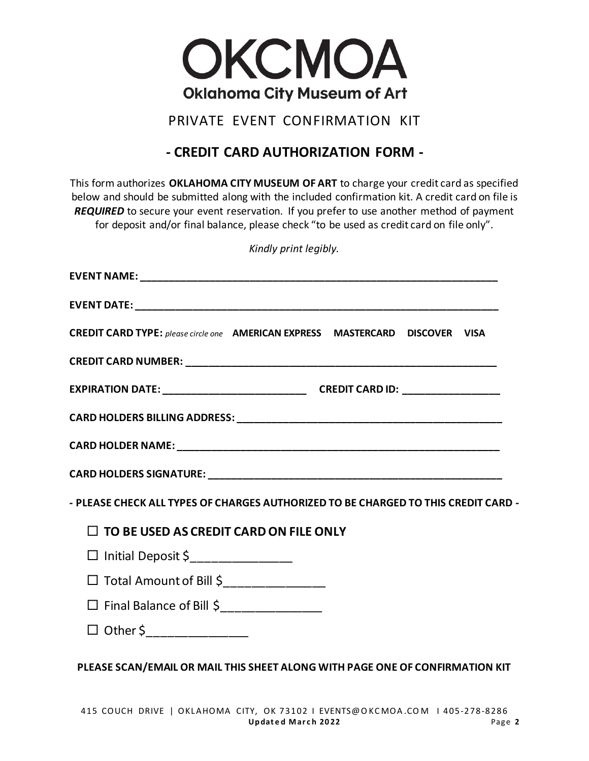

# **- CREDIT CARD AUTHORIZATION FORM -**

This form authorizes **OKLAHOMA CITY MUSEUM OF ART** to charge your credit card as specified below and should be submitted along with the included confirmation kit. A credit card on file is **REQUIRED** to secure your event reservation. If you prefer to use another method of payment for deposit and/or final balance, please check "to be used as credit card on file only".

*Kindly print legibly.*

| <b>CREDIT CARD TYPE:</b> please circle one AMERICAN EXPRESS MASTERCARD DISCOVER VISA                                           |  |  |
|--------------------------------------------------------------------------------------------------------------------------------|--|--|
|                                                                                                                                |  |  |
|                                                                                                                                |  |  |
|                                                                                                                                |  |  |
|                                                                                                                                |  |  |
|                                                                                                                                |  |  |
|                                                                                                                                |  |  |
|                                                                                                                                |  |  |
| $\Box$ TO BE USED AS CREDIT CARD ON FILE ONLY                                                                                  |  |  |
| $\Box$ Initial Deposit \$                                                                                                      |  |  |
| □ Total Amount of Bill \$_____________                                                                                         |  |  |
| - PLEASE CHECK ALL TYPES OF CHARGES AUTHORIZED TO BE CHARGED TO THIS CREDIT CARD -<br>□ Final Balance of Bill \$______________ |  |  |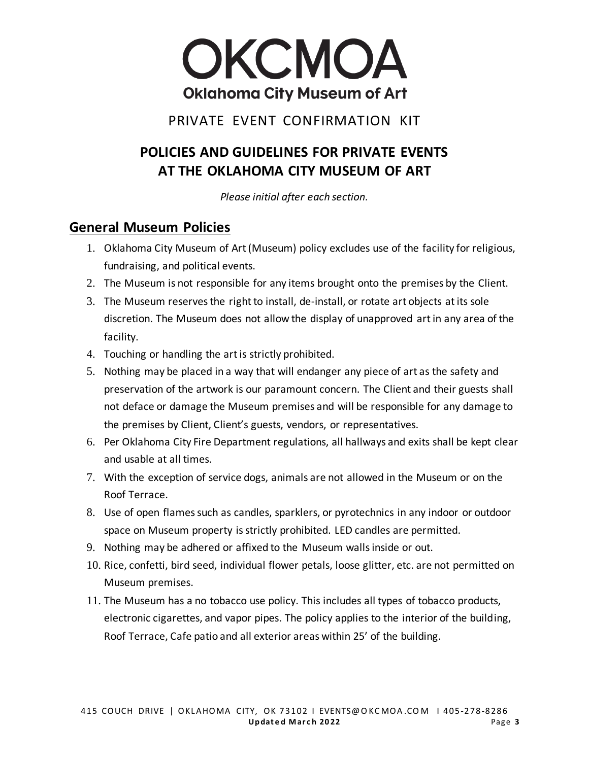

# **POLICIES AND GUIDELINES FOR PRIVATE EVENTS AT THE OKLAHOMA CITY MUSEUM OF ART**

*Please initial after each section.*

## **General Museum Policies**

- 1. Oklahoma City Museum of Art (Museum) policy excludes use of the facility for religious, fundraising, and political events.
- 2. The Museum is not responsible for any items brought onto the premises by the Client.
- 3. The Museum reserves the right to install, de-install, or rotate art objects at its sole discretion. The Museum does not allow the display of unapproved art in any area of the facility.
- 4. Touching or handling the art is strictly prohibited.
- 5. Nothing may be placed in a way that will endanger any piece of art as the safety and preservation of the artwork is our paramount concern. The Client and their guests shall not deface or damage the Museum premises and will be responsible for any damage to the premises by Client, Client's guests, vendors, or representatives.
- 6. Per Oklahoma City Fire Department regulations, all hallways and exits shall be kept clear and usable at all times.
- 7. With the exception of service dogs, animals are not allowed in the Museum or on the Roof Terrace.
- 8. Use of open flames such as candles, sparklers, or pyrotechnics in any indoor or outdoor space on Museum property is strictly prohibited. LED candles are permitted.
- 9. Nothing may be adhered or affixed to the Museum walls inside or out.
- 10. Rice, confetti, bird seed, individual flower petals, loose glitter, etc. are not permitted on Museum premises.
- 11. The Museum has a no tobacco use policy. This includes all types of tobacco products, electronic cigarettes, and vapor pipes. The policy applies to the interior of the building, Roof Terrace, Cafe patio and all exterior areas within 25' of the building.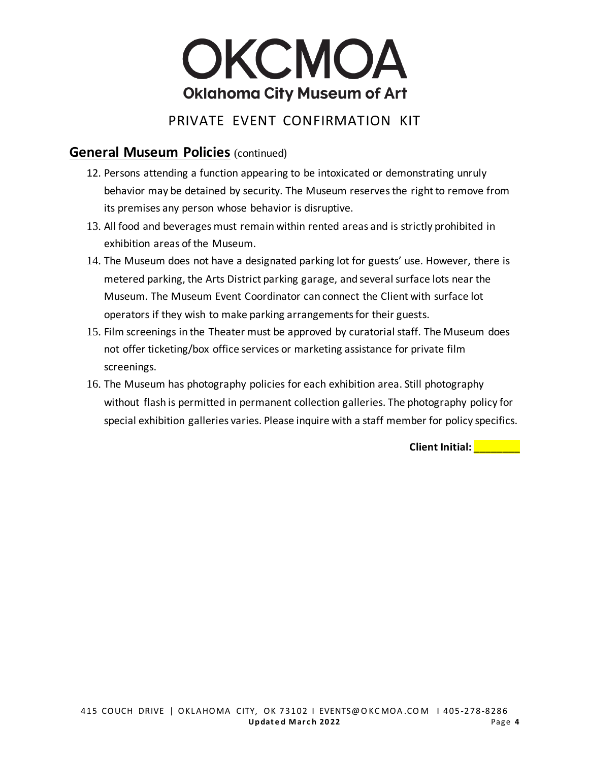

## **General Museum Policies** (continued)

- 12. Persons attending a function appearing to be intoxicated or demonstrating unruly behavior may be detained by security. The Museum reserves the right to remove from its premises any person whose behavior is disruptive.
- 13. All food and beverages must remain within rented areas and is strictly prohibited in exhibition areas of the Museum.
- 14. The Museum does not have a designated parking lot for guests' use. However, there is metered parking, the Arts District parking garage, and several surface lots near the Museum. The Museum Event Coordinator can connect the Client with surface lot operators if they wish to make parking arrangements for their guests.
- 15. Film screenings in the Theater must be approved by curatorial staff. The Museum does not offer ticketing/box office services or marketing assistance for private film screenings.
- 16. The Museum has photography policies for each exhibition area. Still photography without flash is permitted in permanent collection galleries. The photography policy for special exhibition galleries varies. Please inquire with a staff member for policy specifics.

**Client Initial: William**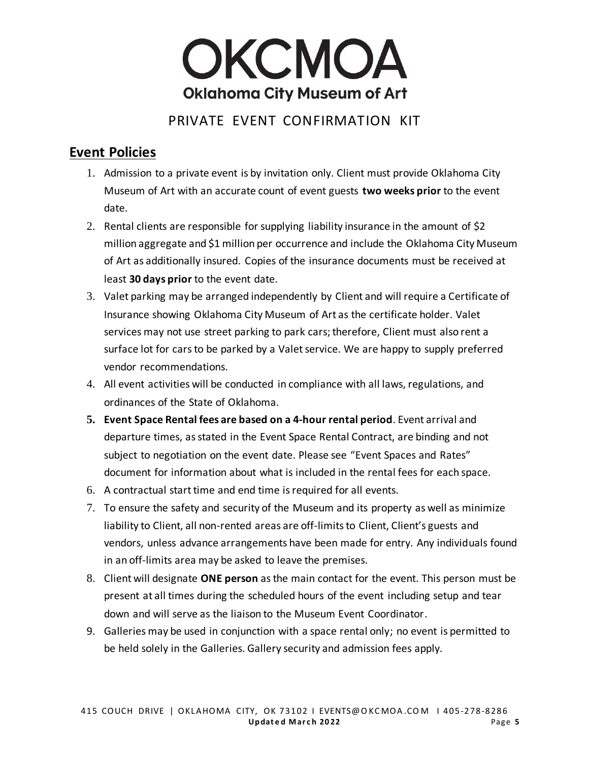

## **Event Policies**

- 1. Admission to a private event is by invitation only. Client must provide Oklahoma City Museum of Art with an accurate count of event guests **two weeks prior** to the event date.
- 2. Rental clients are responsible for supplying liability insurance in the amount of \$2 million aggregate and \$1 million per occurrence and include the Oklahoma City Museum of Art as additionally insured. Copies of the insurance documents must be received at least **30 days prior** to the event date.
- 3. Valet parking may be arranged independently by Client and will require a Certificate of Insurance showing Oklahoma City Museum of Art as the certificate holder. Valet services may not use street parking to park cars; therefore, Client must also rent a surface lot for cars to be parked by a Valet service. We are happy to supply preferred vendor recommendations.
- 4. All event activities will be conducted in compliance with all laws, regulations, and ordinances of the State of Oklahoma.
- **5. Event Space Rental fees are based on a 4-hour rental period**. Event arrival and departure times, as stated in the Event Space Rental Contract, are binding and not subject to negotiation on the event date. Please see "Event Spaces and Rates" document for information about what is included in the rental fees for each space.
- 6. A contractual start time and end time is required for all events.
- 7. To ensure the safety and security of the Museum and its property as well as minimize liability to Client, all non-rented areas are off-limits to Client, Client's guests and vendors, unless advance arrangements have been made for entry. Any individuals found in an off-limits area may be asked to leave the premises.
- 8. Client will designate **ONE person** as the main contact for the event. This person must be present at all times during the scheduled hours of the event including setup and tear down and will serve as the liaison to the Museum Event Coordinator.
- 9. Galleries may be used in conjunction with a space rental only; no event is permitted to be held solely in the Galleries. Gallery security and admission fees apply.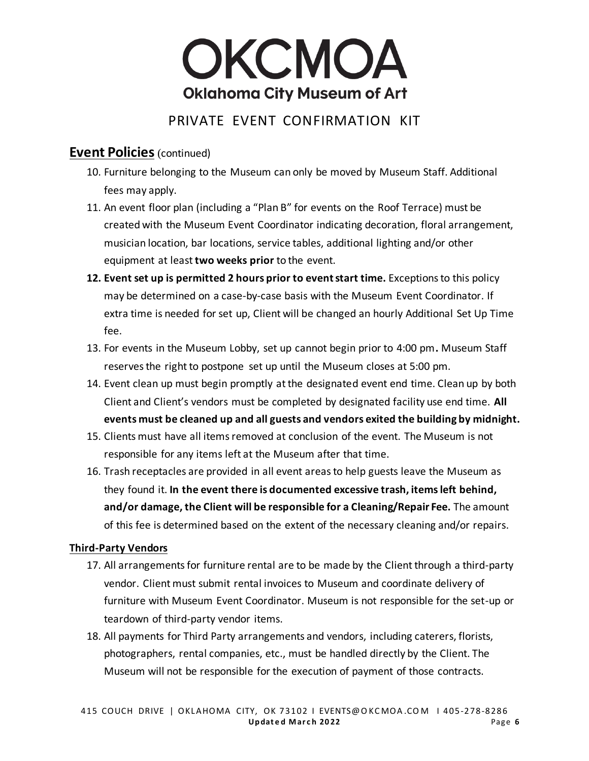

## **Event Policies** (continued)

- 10. Furniture belonging to the Museum can only be moved by Museum Staff. Additional fees may apply.
- 11. An event floor plan (including a "Plan B" for events on the Roof Terrace) must be created with the Museum Event Coordinator indicating decoration, floral arrangement, musician location, bar locations, service tables, additional lighting and/or other equipment at least **two weeks prior** to the event.
- **12. Event set up is permitted 2 hours prior to event start time.** Exceptions to this policy may be determined on a case-by-case basis with the Museum Event Coordinator. If extra time is needed for set up, Client will be changed an hourly Additional Set Up Time fee.
- 13. For events in the Museum Lobby, set up cannot begin prior to 4:00 pm**.** Museum Staff reserves the right to postpone set up until the Museum closes at 5:00 pm.
- 14. Event clean up must begin promptly at the designated event end time. Clean up by both Client and Client's vendors must be completed by designated facility use end time. **All events must be cleaned up and all guests and vendors exited the building by midnight.**
- 15. Clients must have all items removed at conclusion of the event. The Museum is not responsible for any items left at the Museum after that time.
- 16. Trash receptacles are provided in all event areas to help guests leave the Museum as they found it. **In the event there is documented excessive trash, items left behind, and/or damage, the Client will be responsible for a Cleaning/Repair Fee.** The amount of this fee is determined based on the extent of the necessary cleaning and/or repairs.

#### **Third-Party Vendors**

- 17. All arrangements for furniture rental are to be made by the Client through a third-party vendor. Client must submit rental invoices to Museum and coordinate delivery of furniture with Museum Event Coordinator. Museum is not responsible for the set-up or teardown of third-party vendor items.
- 18. All payments for Third Party arrangements and vendors, including caterers, florists, photographers, rental companies, etc., must be handled directly by the Client. The Museum will not be responsible for the execution of payment of those contracts.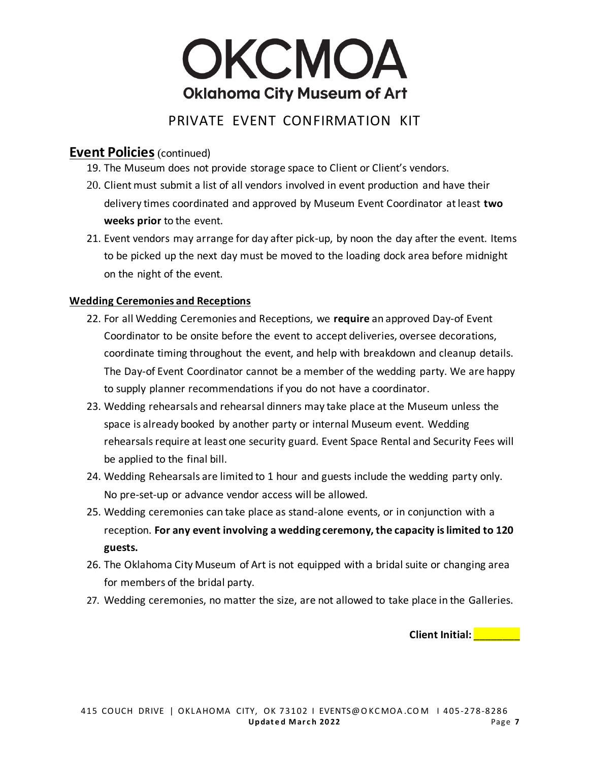

## **Event Policies** (continued)

- 19. The Museum does not provide storage space to Client or Client's vendors.
- 20. Client must submit a list of all vendors involved in event production and have their delivery times coordinated and approved by Museum Event Coordinator at least **two weeks prior** to the event.
- 21. Event vendors may arrange for day after pick-up, by noon the day after the event. Items to be picked up the next day must be moved to the loading dock area before midnight on the night of the event.

#### **Wedding Ceremonies and Receptions**

- 22. For all Wedding Ceremonies and Receptions, we **require** an approved Day-of Event Coordinator to be onsite before the event to accept deliveries, oversee decorations, coordinate timing throughout the event, and help with breakdown and cleanup details. The Day-of Event Coordinator cannot be a member of the wedding party. We are happy to supply planner recommendations if you do not have a coordinator.
- 23. Wedding rehearsals and rehearsal dinners may take place at the Museum unless the space is already booked by another party or internal Museum event. Wedding rehearsals require at least one security guard. Event Space Rental and Security Fees will be applied to the final bill.
- 24. Wedding Rehearsals are limited to 1 hour and guests include the wedding party only. No pre-set-up or advance vendor access will be allowed.
- 25. Wedding ceremonies can take place as stand-alone events, or in conjunction with a reception. **For any event involving a wedding ceremony, the capacity is limited to 120 guests.**
- 26. The Oklahoma City Museum of Art is not equipped with a bridal suite or changing area for members of the bridal party.
- 27. Wedding ceremonies, no matter the size, are not allowed to take place in the Galleries.

**Client Initial: Ligarity**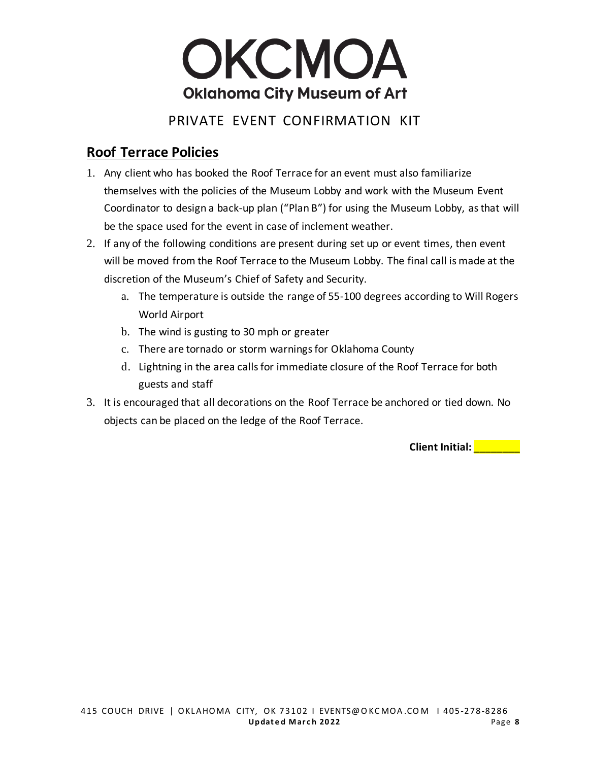

# **Roof Terrace Policies**

- 1. Any client who has booked the Roof Terrace for an event must also familiarize themselves with the policies of the Museum Lobby and work with the Museum Event Coordinator to design a back-up plan ("Plan B") for using the Museum Lobby, as that will be the space used for the event in case of inclement weather.
- 2. If any of the following conditions are present during set up or event times, then event will be moved from the Roof Terrace to the Museum Lobby. The final call is made at the discretion of the Museum's Chief of Safety and Security.
	- a. The temperature is outside the range of 55-100 degrees according to Will Rogers World Airport
	- b. The wind is gusting to 30 mph or greater
	- c. There are tornado or storm warnings for Oklahoma County
	- d. Lightning in the area calls for immediate closure of the Roof Terrace for both guests and staff
- 3. It is encouraged that all decorations on the Roof Terrace be anchored or tied down. No objects can be placed on the ledge of the Roof Terrace.

**Client Initial: We are the Client Initial:**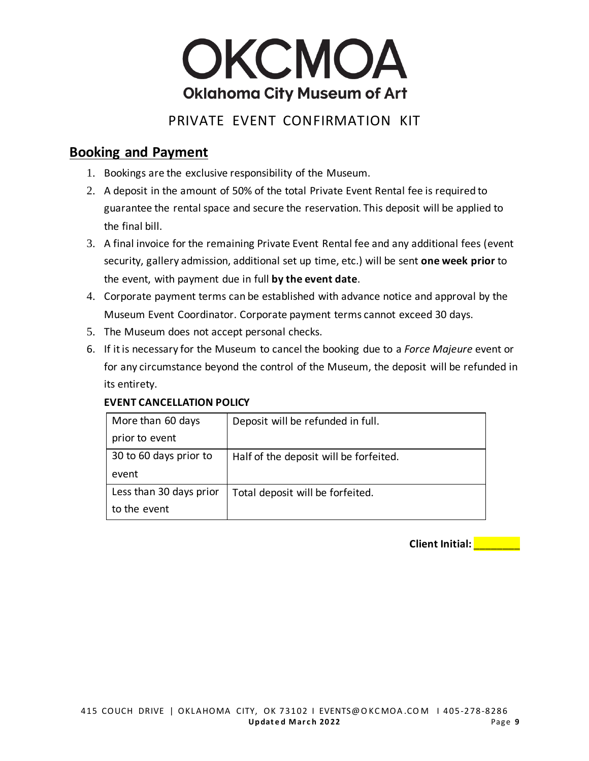

## **Booking and Payment**

- 1. Bookings are the exclusive responsibility of the Museum.
- 2. A deposit in the amount of 50% of the total Private Event Rental fee is required to guarantee the rental space and secure the reservation. This deposit will be applied to the final bill.
- 3. A final invoice for the remaining Private Event Rental fee and any additional fees (event security, gallery admission, additional set up time, etc.) will be sent **one week prior** to the event, with payment due in full **by the event date**.
- 4. Corporate payment terms can be established with advance notice and approval by the Museum Event Coordinator. Corporate payment terms cannot exceed 30 days.
- 5. The Museum does not accept personal checks.
- 6. If it is necessary for the Museum to cancel the booking due to a *Force Majeure* event or for any circumstance beyond the control of the Museum, the deposit will be refunded in its entirety.

#### **EVENT CANCELLATION POLICY**

| More than 60 days       | Deposit will be refunded in full.      |
|-------------------------|----------------------------------------|
| prior to event          |                                        |
| 30 to 60 days prior to  | Half of the deposit will be forfeited. |
| event                   |                                        |
| Less than 30 days prior | Total deposit will be forfeited.       |
| to the event            |                                        |

**Client Initial: William**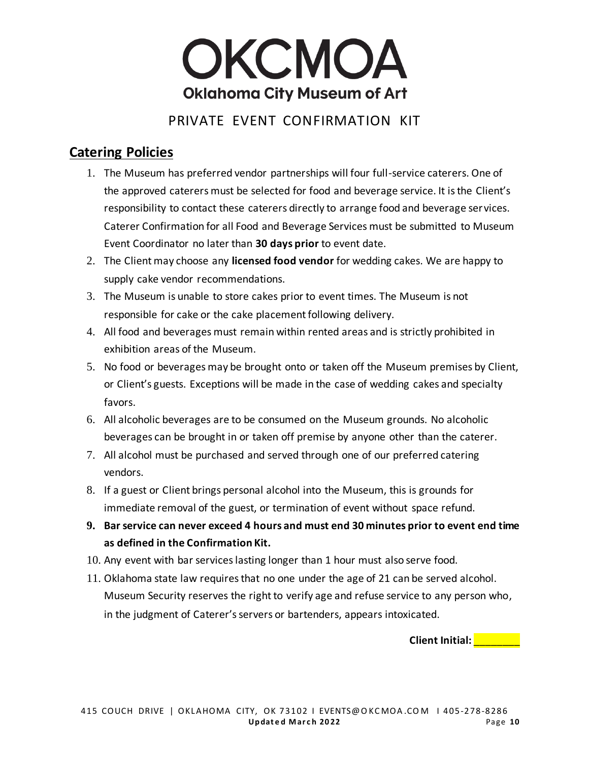

## **Catering Policies**

- 1. The Museum has preferred vendor partnerships will four full-service caterers. One of the approved caterers must be selected for food and beverage service. It is the Client's responsibility to contact these caterers directly to arrange food and beverage services. Caterer Confirmation for all Food and Beverage Services must be submitted to Museum Event Coordinator no later than **30 days prior** to event date.
- 2. The Client may choose any **licensed food vendor** for wedding cakes. We are happy to supply cake vendor recommendations.
- 3. The Museum is unable to store cakes prior to event times. The Museum is not responsible for cake or the cake placement following delivery.
- 4. All food and beverages must remain within rented areas and is strictly prohibited in exhibition areas of the Museum.
- 5. No food or beverages may be brought onto or taken off the Museum premises by Client, or Client's guests. Exceptions will be made in the case of wedding cakes and specialty favors.
- 6. All alcoholic beverages are to be consumed on the Museum grounds. No alcoholic beverages can be brought in or taken off premise by anyone other than the caterer.
- 7. All alcohol must be purchased and served through one of our preferred catering vendors.
- 8. If a guest or Client brings personal alcohol into the Museum, this is grounds for immediate removal of the guest, or termination of event without space refund.
- **9. Bar service can never exceed 4 hours and must end 30 minutes prior to event end time as defined in the Confirmation Kit.**
- 10. Any event with bar services lasting longer than 1 hour must also serve food.
- 11. Oklahoma state law requires that no one under the age of 21 can be served alcohol. Museum Security reserves the right to verify age and refuse service to any person who, in the judgment of Caterer's servers or bartenders, appears intoxicated.

**Client Initial: William**